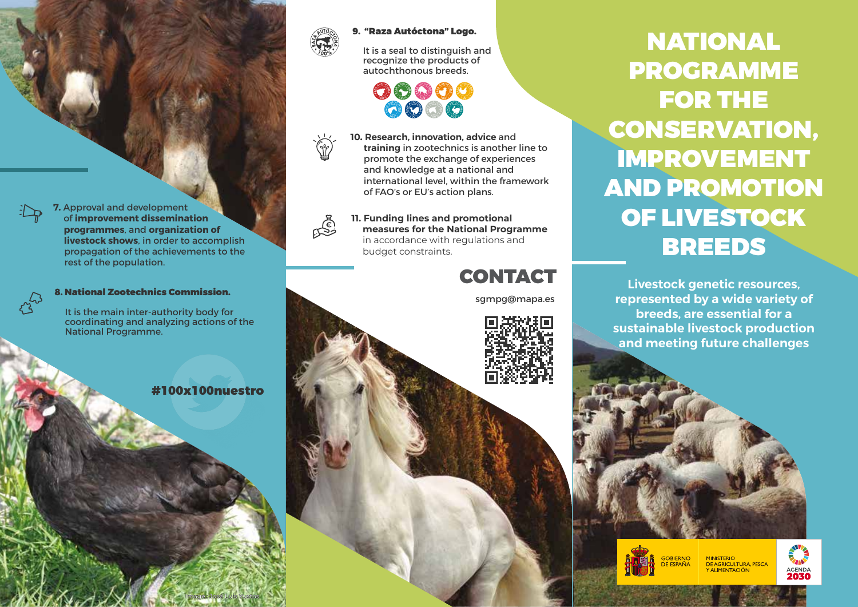

्<br>।<br>दुरी

#### 9. "Raza Autóctona" Logo.

It is a seal to distinguish and recognize the products of autochthonous breeds.



**10. Research, innovation, advice** and **training** in zootechnics is another line to promote the exchange of experiences and knowledge at a national and international level, within the framework of FAO's or EU's action plans.

**11. Funding lines and promotional measures for the National Programme**  in accordance with regulations and

budget constraints.

sgmpg@mapa.es

**CONTACT** 

NATIONAL PROGRAMME FOR THE CONSERVATION, IMPROVEMENT AND PROMOTION OF LIVESTOCK BREEDS

**Livestock genetic resources, represented by a wide variety of breeds, are essential for a sustainable livestock production and meeting future challenges**

**7.** Approval and development of **improvement dissemination programmes**, and **organization of livestock shows**, in order to accomplish propagation of the achievements to the rest of the population.

8. National Zootechnics Commission.

It is the main inter-authority body for coordinating and analyzing actions of the National Programme.

#100x100nuestro





**MINISTERIO** DE AGRICULTURA, PESCA ALIMENTACIÓN